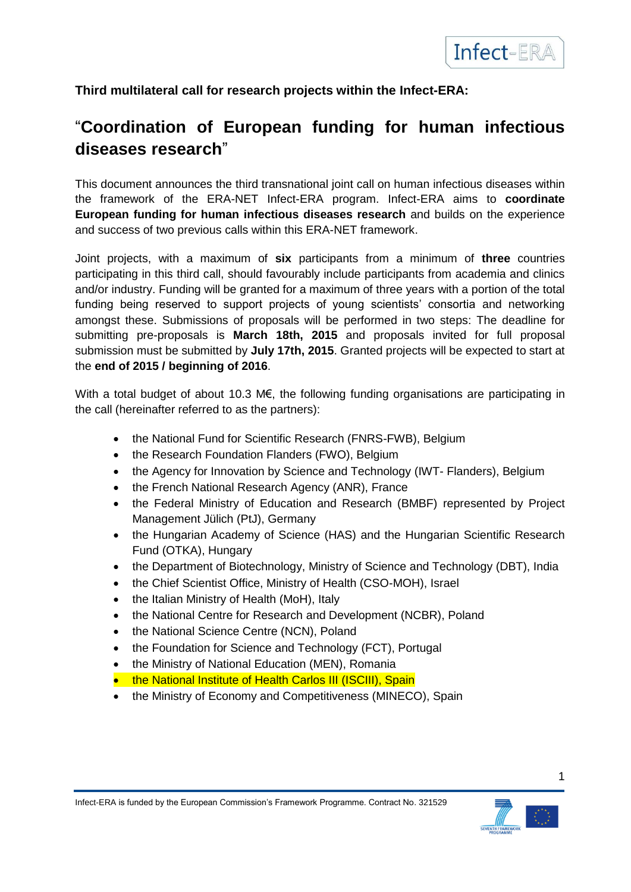

**Third multilateral call for research projects within the Infect-ERA:**

# "**Coordination of European funding for human infectious diseases research**"

This document announces the third transnational joint call on human infectious diseases within the framework of the ERA-NET Infect-ERA program. Infect-ERA aims to **coordinate European funding for human infectious diseases research** and builds on the experience and success of two previous calls within this ERA-NET framework.

Joint projects, with a maximum of **six** participants from a minimum of **three** countries participating in this third call, should favourably include participants from academia and clinics and/or industry. Funding will be granted for a maximum of three years with a portion of the total funding being reserved to support projects of young scientists' consortia and networking amongst these. Submissions of proposals will be performed in two steps: The deadline for submitting pre-proposals is **March 18th, 2015** and proposals invited for full proposal submission must be submitted by **July 17th, 2015**. Granted projects will be expected to start at the **end of 2015 / beginning of 2016**.

With a total budget of about 10.3 M€, the following funding organisations are participating in the call (hereinafter referred to as the partners):

- the National Fund for Scientific Research (FNRS-FWB), Belgium
- the Research Foundation Flanders (FWO), Belgium
- the Agency for Innovation by Science and Technology (IWT- Flanders), Belgium
- the French National Research Agency (ANR), France
- the Federal Ministry of Education and Research (BMBF) represented by Project Management Jülich (PtJ), Germany
- the Hungarian Academy of Science (HAS) and the Hungarian Scientific Research Fund (OTKA), Hungary
- the Department of Biotechnology, Ministry of Science and Technology (DBT), India
- the Chief Scientist Office, Ministry of Health (CSO-MOH), Israel
- the Italian Ministry of Health (MoH), Italy
- the National Centre for Research and Development (NCBR), Poland
- the National Science Centre (NCN), Poland
- the Foundation for Science and Technology (FCT), Portugal
- the Ministry of National Education (MEN), Romania
- the National Institute of Health Carlos III (ISCIII), Spain
- the Ministry of Economy and Competitiveness (MINECO), Spain

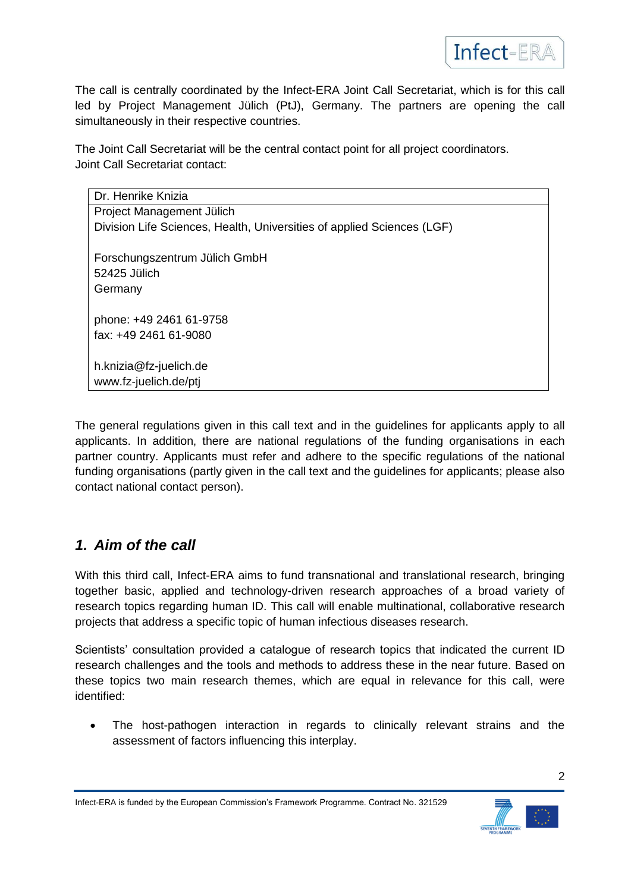

The call is centrally coordinated by the Infect-ERA Joint Call Secretariat, which is for this call led by Project Management Jülich (PtJ), Germany. The partners are opening the call simultaneously in their respective countries.

The Joint Call Secretariat will be the central contact point for all project coordinators. Joint Call Secretariat contact:

| Dr. Henrike Knizia                                                     |
|------------------------------------------------------------------------|
| Project Management Jülich                                              |
| Division Life Sciences, Health, Universities of applied Sciences (LGF) |
| Forschungszentrum Jülich GmbH<br>52425 Jülich<br>Germany               |
| phone: +49 2461 61-9758                                                |
| fax: +49 2461 61-9080                                                  |
| h.knizia@fz-juelich.de<br>www.fz-juelich.de/ptj                        |

The general regulations given in this call text and in the guidelines for applicants apply to all applicants. In addition, there are national regulations of the funding organisations in each partner country. Applicants must refer and adhere to the specific regulations of the national funding organisations (partly given in the call text and the guidelines for applicants; please also contact national contact person).

## *1. Aim of the call*

With this third call, Infect-ERA aims to fund transnational and translational research, bringing together basic, applied and technology-driven research approaches of a broad variety of research topics regarding human ID. This call will enable multinational, collaborative research projects that address a specific topic of human infectious diseases research.

Scientists' consultation provided a catalogue of research topics that indicated the current ID research challenges and the tools and methods to address these in the near future. Based on these topics two main research themes, which are equal in relevance for this call, were identified:

 The host-pathogen interaction in regards to clinically relevant strains and the assessment of factors influencing this interplay.

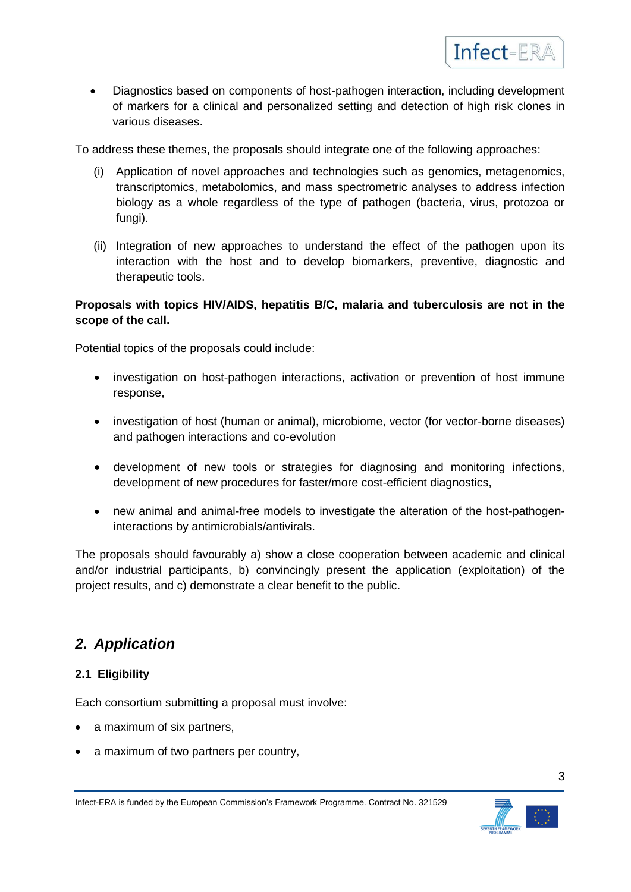

• Diagnostics based on components of host-pathogen interaction, including development of markers for a clinical and personalized setting and detection of high risk clones in various diseases.

To address these themes, the proposals should integrate one of the following approaches:

- (i) Application of novel approaches and technologies such as genomics, metagenomics, transcriptomics, metabolomics, and mass spectrometric analyses to address infection biology as a whole regardless of the type of pathogen (bacteria, virus, protozoa or fungi).
- (ii) Integration of new approaches to understand the effect of the pathogen upon its interaction with the host and to develop biomarkers, preventive, diagnostic and therapeutic tools.

#### **Proposals with topics HIV/AIDS, hepatitis B/C, malaria and tuberculosis are not in the scope of the call.**

Potential topics of the proposals could include:

- investigation on host-pathogen interactions, activation or prevention of host immune response,
- investigation of host (human or animal), microbiome, vector (for vector-borne diseases) and pathogen interactions and co-evolution
- development of new tools or strategies for diagnosing and monitoring infections, development of new procedures for faster/more cost-efficient diagnostics,
- new animal and animal-free models to investigate the alteration of the host-pathogeninteractions by antimicrobials/antivirals.

The proposals should favourably a) show a close cooperation between academic and clinical and/or industrial participants, b) convincingly present the application (exploitation) of the project results, and c) demonstrate a clear benefit to the public.

## *2. Application*

#### **2.1 Eligibility**

Each consortium submitting a proposal must involve:

- a maximum of six partners.
- a maximum of two partners per country,

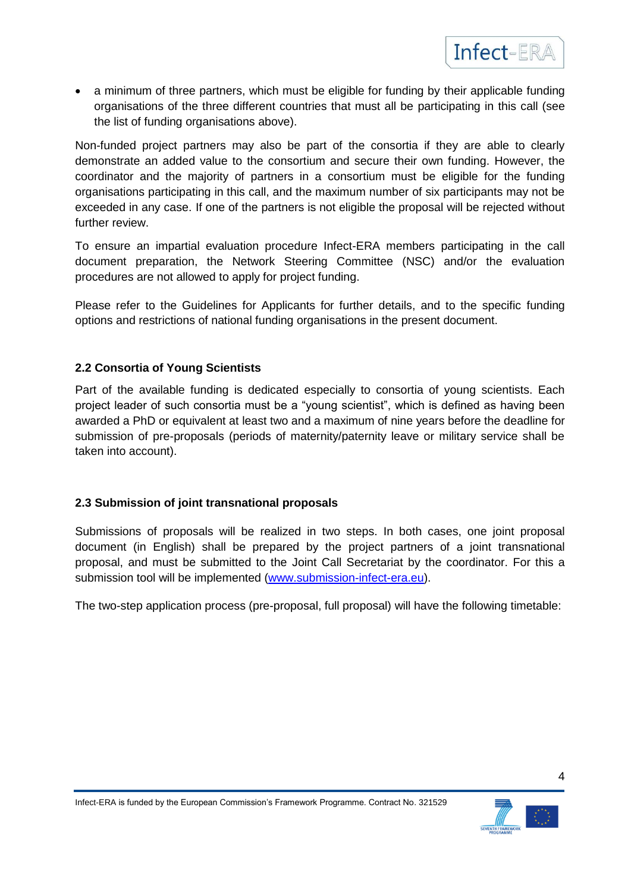

• a minimum of three partners, which must be eligible for funding by their applicable funding organisations of the three different countries that must all be participating in this call (see the list of funding organisations above).

Non-funded project partners may also be part of the consortia if they are able to clearly demonstrate an added value to the consortium and secure their own funding. However, the coordinator and the majority of partners in a consortium must be eligible for the funding organisations participating in this call, and the maximum number of six participants may not be exceeded in any case. If one of the partners is not eligible the proposal will be rejected without further review.

To ensure an impartial evaluation procedure Infect-ERA members participating in the call document preparation, the Network Steering Committee (NSC) and/or the evaluation procedures are not allowed to apply for project funding.

Please refer to the Guidelines for Applicants for further details, and to the specific funding options and restrictions of national funding organisations in the present document.

#### **2.2 Consortia of Young Scientists**

Part of the available funding is dedicated especially to consortia of young scientists. Each project leader of such consortia must be a "young scientist", which is defined as having been awarded a PhD or equivalent at least two and a maximum of nine years before the deadline for submission of pre-proposals (periods of maternity/paternity leave or military service shall be taken into account).

#### **2.3 Submission of joint transnational proposals**

Submissions of proposals will be realized in two steps. In both cases, one joint proposal document (in English) shall be prepared by the project partners of a joint transnational proposal, and must be submitted to the Joint Call Secretariat by the coordinator. For this a submission tool will be implemented [\(www.submission-infect-era.eu\)](http://www.submission-infect-era.eu/).

The two-step application process (pre-proposal, full proposal) will have the following timetable:



4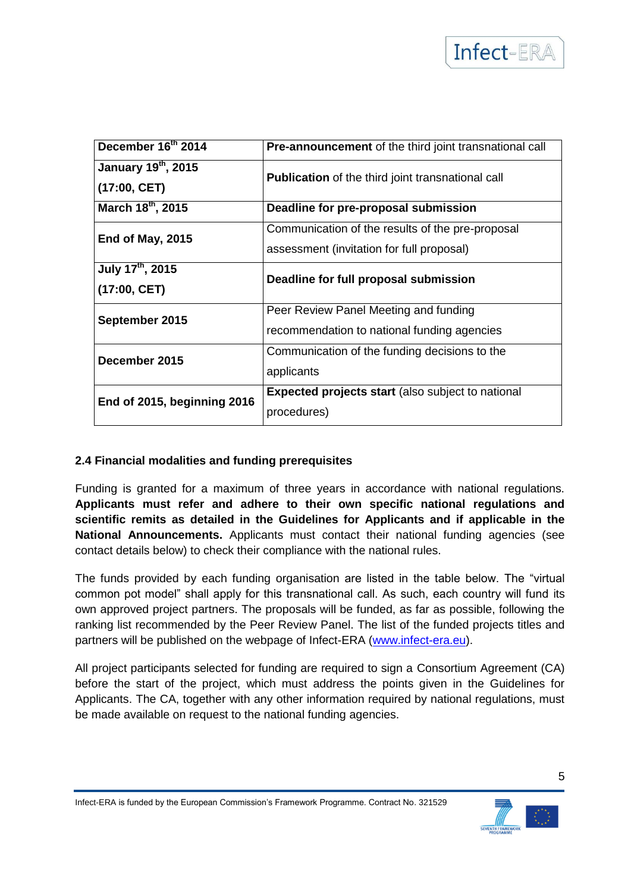

| December 16th 2014           | <b>Pre-announcement</b> of the third joint transnational call |  |  |  |
|------------------------------|---------------------------------------------------------------|--|--|--|
| January 19th, 2015           | <b>Publication</b> of the third joint transnational call      |  |  |  |
| (17:00, CET)                 |                                                               |  |  |  |
| March 18th, 2015             | Deadline for pre-proposal submission                          |  |  |  |
| End of May, 2015             | Communication of the results of the pre-proposal              |  |  |  |
|                              | assessment (invitation for full proposal)                     |  |  |  |
| July 17 <sup>th</sup> , 2015 | Deadline for full proposal submission                         |  |  |  |
| (17:00, CET)                 |                                                               |  |  |  |
| September 2015               | Peer Review Panel Meeting and funding                         |  |  |  |
|                              | recommendation to national funding agencies                   |  |  |  |
| December 2015                | Communication of the funding decisions to the                 |  |  |  |
|                              | applicants                                                    |  |  |  |
| End of 2015, beginning 2016  | <b>Expected projects start (also subject to national</b>      |  |  |  |
|                              | procedures)                                                   |  |  |  |

#### **2.4 Financial modalities and funding prerequisites**

Funding is granted for a maximum of three years in accordance with national regulations. **Applicants must refer and adhere to their own specific national regulations and scientific remits as detailed in the Guidelines for Applicants and if applicable in the National Announcements.** Applicants must contact their national funding agencies (see contact details below) to check their compliance with the national rules.

The funds provided by each funding organisation are listed in the table below. The "virtual common pot model" shall apply for this transnational call. As such, each country will fund its own approved project partners. The proposals will be funded, as far as possible, following the ranking list recommended by the Peer Review Panel. The list of the funded projects titles and partners will be published on the webpage of Infect-ERA [\(www.infect-era.eu\)](http://www.infect-era.eu/).

All project participants selected for funding are required to sign a Consortium Agreement (CA) before the start of the project, which must address the points given in the Guidelines for Applicants. The CA, together with any other information required by national regulations, must be made available on request to the national funding agencies.

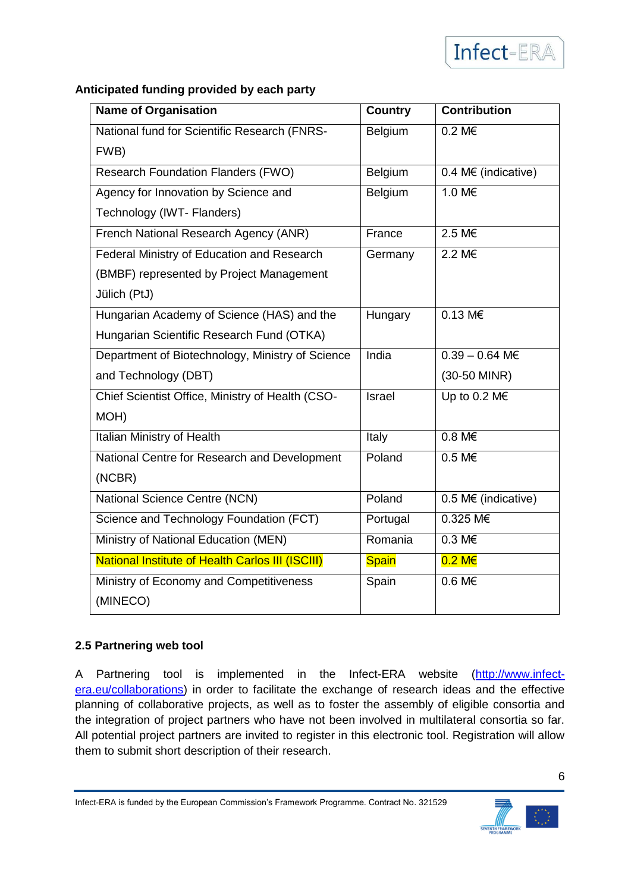#### **Anticipated funding provided by each party**

| <b>Name of Organisation</b>                      | <b>Country</b> | <b>Contribution</b>           |
|--------------------------------------------------|----------------|-------------------------------|
| National fund for Scientific Research (FNRS-     | Belgium        | 0.2 M€                        |
| FWB)                                             |                |                               |
| <b>Research Foundation Flanders (FWO)</b>        | Belgium        | $0.4 \text{ Mé}$ (indicative) |
| Agency for Innovation by Science and             | Belgium        | 1.0 M€                        |
| Technology (IWT- Flanders)                       |                |                               |
| French National Research Agency (ANR)            | France         | 2.5 M€                        |
| Federal Ministry of Education and Research       | Germany        | 2.2 M€                        |
| (BMBF) represented by Project Management         |                |                               |
| Jülich (PtJ)                                     |                |                               |
| Hungarian Academy of Science (HAS) and the       | Hungary        | $0.13 \text{ M} \in$          |
| Hungarian Scientific Research Fund (OTKA)        |                |                               |
| Department of Biotechnology, Ministry of Science | India          | $0.39 - 0.64$ M <sub>€</sub>  |
| and Technology (DBT)                             |                | (30-50 MINR)                  |
| Chief Scientist Office, Ministry of Health (CSO- | Israel         | Up to 0.2 M€                  |
| MOH)                                             |                |                               |
| Italian Ministry of Health                       | Italy          | $0.8 M \in$                   |
| National Centre for Research and Development     | Poland         | 0.5 M€                        |
| (NCBR)                                           |                |                               |
| National Science Centre (NCN)                    | Poland         | 0.5 M $\epsilon$ (indicative) |
| Science and Technology Foundation (FCT)          | Portugal       | $0.325$ M <sub>€</sub>        |
| Ministry of National Education (MEN)             | Romania        | $0.3 M\epsilon$               |
| National Institute of Health Carlos III (ISCIII) | <b>Spain</b>   | $0.2 M \epsilon$              |
| Ministry of Economy and Competitiveness          | Spain          | $0.6 M\epsilon$               |
| (MINECO)                                         |                |                               |

#### **2.5 Partnering web tool**

A Partnering tool is implemented in the Infect-ERA website [\(http://www.infect](http://www.infect-era.eu/collaborations)[era.eu/collaborations\)](http://www.infect-era.eu/collaborations) in order to facilitate the exchange of research ideas and the effective planning of collaborative projects, as well as to foster the assembly of eligible consortia and the integration of project partners who have not been involved in multilateral consortia so far. All potential project partners are invited to register in this electronic tool. Registration will allow them to submit short description of their research.

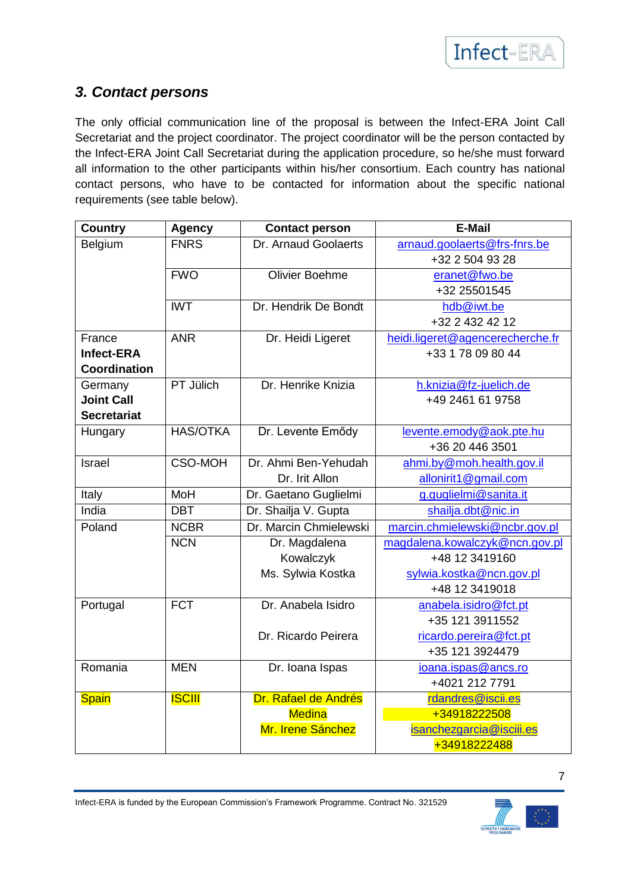

## *3. Contact persons*

The only official communication line of the proposal is between the Infect-ERA Joint Call Secretariat and the project coordinator. The project coordinator will be the person contacted by the Infect-ERA Joint Call Secretariat during the application procedure, so he/she must forward all information to the other participants within his/her consortium. Each country has national contact persons, who have to be contacted for information about the specific national requirements (see table below).

| <b>Country</b>     | <b>Agency</b>   | <b>Contact person</b>  | <b>E-Mail</b>                    |
|--------------------|-----------------|------------------------|----------------------------------|
| Belgium            | <b>FNRS</b>     | Dr. Arnaud Goolaerts   | arnaud.goolaerts@frs-fnrs.be     |
|                    |                 |                        | +32 2 504 93 28                  |
|                    | <b>FWO</b>      | <b>Olivier Boehme</b>  | eranet@fwo.be                    |
|                    |                 |                        | +32 25501545                     |
|                    | <b>IWT</b>      | Dr. Hendrik De Bondt   | hdb@iwt.be                       |
|                    |                 |                        | +32 2 432 42 12                  |
| France             | <b>ANR</b>      | Dr. Heidi Ligeret      | heidi.ligeret@agencerecherche.fr |
| Infect-ERA         |                 |                        | +33 1 78 09 80 44                |
| Coordination       |                 |                        |                                  |
| Germany            | PT Jülich       | Dr. Henrike Knizia     | h.knizia@fz-juelich.de           |
| <b>Joint Call</b>  |                 |                        | +49 2461 61 9758                 |
| <b>Secretariat</b> |                 |                        |                                  |
| Hungary            | <b>HAS/OTKA</b> | Dr. Levente Emődy      | levente.emody@aok.pte.hu         |
|                    |                 |                        | +36 20 446 3501                  |
| Israel             | <b>CSO-MOH</b>  | Dr. Ahmi Ben-Yehudah   | ahmi.by@moh.health.gov.il        |
|                    |                 | Dr. Irit Allon         | allonirit1@gmail.com             |
| Italy              | MoH             | Dr. Gaetano Guglielmi  | g.guglielmi@sanita.it            |
| India              | <b>DBT</b>      | Dr. Shailja V. Gupta   | shailja.dbt@nic.in               |
| Poland             | <b>NCBR</b>     | Dr. Marcin Chmielewski | marcin.chmielewski@ncbr.gov.pl   |
|                    | <b>NCN</b>      | Dr. Magdalena          | magdalena.kowalczyk@ncn.gov.pl   |
|                    |                 | Kowalczyk              | +48 12 3419160                   |
|                    |                 | Ms. Sylwia Kostka      | sylwia.kostka@ncn.gov.pl         |
|                    |                 |                        | +48 12 3419018                   |
| Portugal           | <b>FCT</b>      | Dr. Anabela Isidro     | anabela.isidro@fct.pt            |
|                    |                 |                        | +35 121 3911552                  |
|                    |                 | Dr. Ricardo Peirera    | ricardo.pereira@fct.pt           |
|                    |                 |                        | +35 121 3924479                  |
| Romania            | <b>MEN</b>      | Dr. Ioana Ispas        | ioana.ispas@ancs.ro              |
|                    |                 |                        | +4021 212 7791                   |
| <b>Spain</b>       | <b>ISCIII</b>   | Dr. Rafael de Andrés   | rdandres@iscii.es                |
|                    |                 | <b>Medina</b>          | +34918222508                     |
|                    |                 | Mr. Irene Sánchez      | isanchezgarcia@isciii.es         |
|                    |                 |                        | +34918222488                     |



7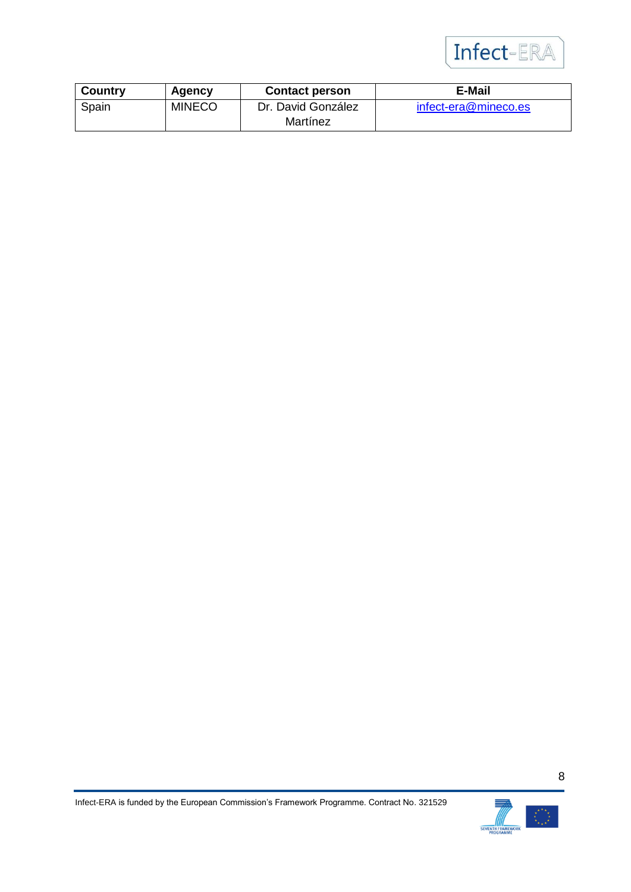

| <b>Country</b> | Agency        | <b>Contact person</b> | <b>E-Mail</b>        |
|----------------|---------------|-----------------------|----------------------|
| Spain          | <b>MINECO</b> | Dr. David González    | infect-era@mineco.es |
|                |               | Martínez              |                      |

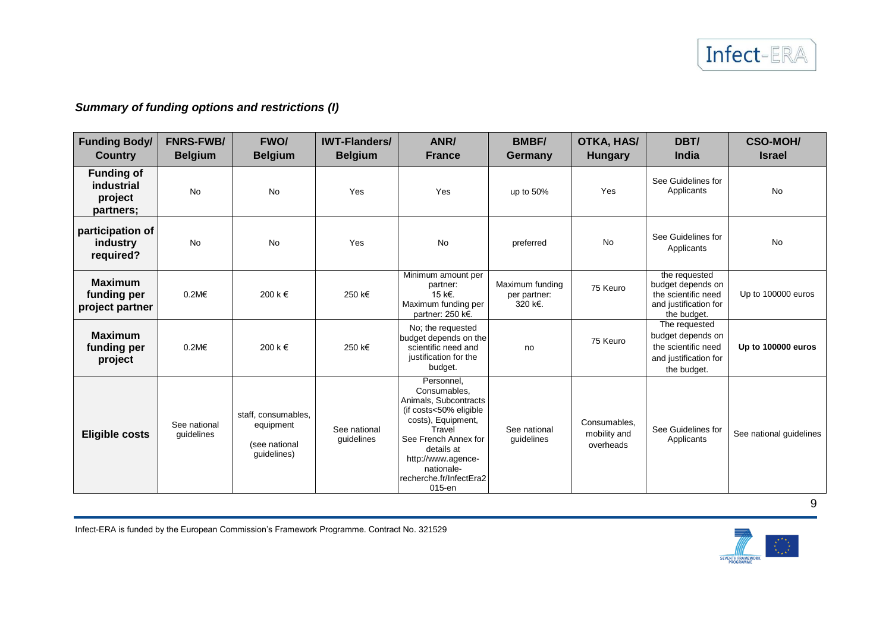### *Summary of funding options and restrictions (I)*

| <b>Funding Body/</b><br><b>Country</b>                  | <b>FNRS-FWB/</b><br><b>Belgium</b> | <b>FWO/</b><br><b>Belgium</b>                                    | <b>IWT-Flanders/</b><br><b>Belgium</b> | ANR/<br><b>France</b>                                                                                                                                                                                                        | <b>BMBF/</b><br>Germany                    | <b>OTKA, HAS/</b><br><b>Hungary</b>       | DBT/<br>India                                                                                     | <b>CSO-MOH/</b><br><b>Israel</b> |
|---------------------------------------------------------|------------------------------------|------------------------------------------------------------------|----------------------------------------|------------------------------------------------------------------------------------------------------------------------------------------------------------------------------------------------------------------------------|--------------------------------------------|-------------------------------------------|---------------------------------------------------------------------------------------------------|----------------------------------|
| <b>Funding of</b><br>industrial<br>project<br>partners; | No                                 | <b>No</b>                                                        | Yes                                    | Yes                                                                                                                                                                                                                          | up to 50%                                  | Yes                                       | See Guidelines for<br>Applicants                                                                  | <b>No</b>                        |
| participation of<br>industry<br>required?               | No                                 | <b>No</b>                                                        | Yes                                    | <b>No</b><br>preferred                                                                                                                                                                                                       |                                            | <b>No</b>                                 | See Guidelines for<br>Applicants                                                                  | <b>No</b>                        |
| <b>Maximum</b><br>funding per<br>project partner        | $0.2M\epsilon$                     | 200 k €                                                          | 250 k€                                 | Minimum amount per<br>partner:<br>15 k€.<br>Maximum funding per<br>partner: 250 k€.                                                                                                                                          | Maximum funding<br>per partner:<br>320 k€. | 75 Keuro                                  | the requested<br>budget depends on<br>the scientific need<br>and justification for<br>the budget. | Up to 100000 euros               |
| <b>Maximum</b><br>funding per<br>project                | $0.2M\epsilon$                     | 200 k €                                                          | 250 k€                                 | No; the requested<br>budget depends on the<br>scientific need and<br>justification for the<br>budget.                                                                                                                        | no                                         | 75 Keuro                                  | The requested<br>budget depends on<br>the scientific need<br>and justification for<br>the budget. | Up to 100000 euros               |
| <b>Eligible costs</b>                                   | See national<br>guidelines         | staff, consumables,<br>equipment<br>(see national<br>guidelines) | See national<br>guidelines             | Personnel,<br>Consumables,<br>Animals, Subcontracts<br>(if costs<50% eligible<br>costs), Equipment,<br>Travel<br>See French Annex for<br>details at<br>http://www.agence-<br>nationale-<br>recherche.fr/InfectEra2<br>015-en | See national<br>guidelines                 | Consumables,<br>mobility and<br>overheads | See Guidelines for<br>Applicants                                                                  | See national guidelines          |

Infect-ERA is funded by the European Commission's Framework Programme. Contract No. 321529

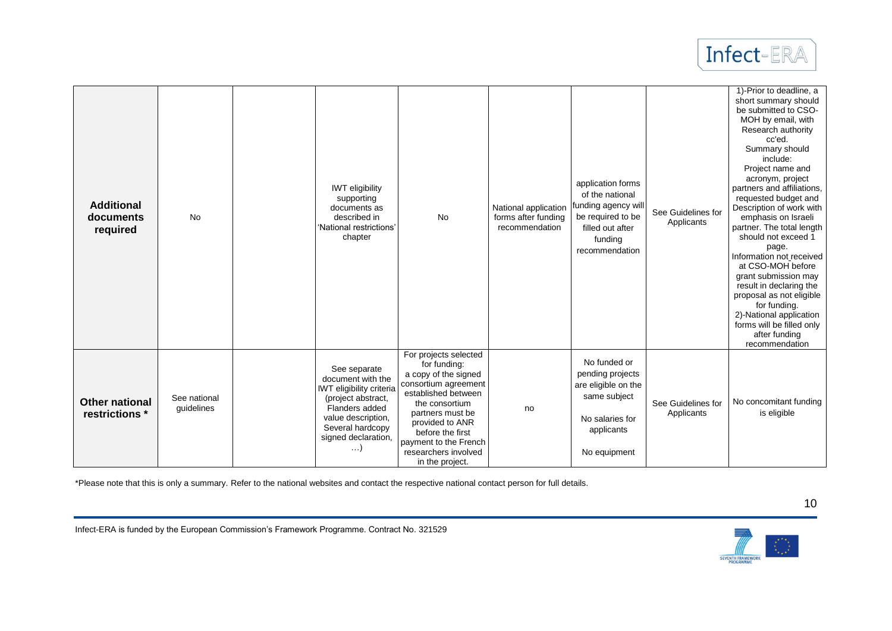

| <b>Additional</b><br>documents<br>required | <b>No</b>                  | <b>IWT</b> eligibility<br>supporting<br>documents as<br>described in<br>'National restrictions'<br>chapter                                                                           | No                                                                                                                                                                                                                                                            | National application<br>forms after funding<br>recommendation | application forms<br>of the national<br>funding agency will<br>be required to be<br>filled out after<br>funding<br>recommendation | See Guidelines for<br>Applicants | 1)-Prior to deadline, a<br>short summary should<br>be submitted to CSO-<br>MOH by email, with<br>Research authority<br>cc'ed.<br>Summary should<br>include:<br>Project name and<br>acronym, project<br>partners and affiliations.<br>requested budget and<br>Description of work with<br>emphasis on Israeli<br>partner. The total length<br>should not exceed 1<br>page.<br>Information not received<br>at CSO-MOH before<br>grant submission may<br>result in declaring the<br>proposal as not eligible<br>for funding.<br>2)-National application<br>forms will be filled only<br>after funding<br>recommendation |
|--------------------------------------------|----------------------------|--------------------------------------------------------------------------------------------------------------------------------------------------------------------------------------|---------------------------------------------------------------------------------------------------------------------------------------------------------------------------------------------------------------------------------------------------------------|---------------------------------------------------------------|-----------------------------------------------------------------------------------------------------------------------------------|----------------------------------|----------------------------------------------------------------------------------------------------------------------------------------------------------------------------------------------------------------------------------------------------------------------------------------------------------------------------------------------------------------------------------------------------------------------------------------------------------------------------------------------------------------------------------------------------------------------------------------------------------------------|
| <b>Other national</b><br>restrictions *    | See national<br>guidelines | See separate<br>document with the<br><b>IWT</b> eligibility criteria<br>(project abstract,<br>Flanders added<br>value description,<br>Several hardcopy<br>signed declaration,<br>. ) | For projects selected<br>for funding:<br>a copy of the signed<br>consortium agreement<br>established between<br>the consortium<br>partners must be<br>provided to ANR<br>before the first<br>payment to the French<br>researchers involved<br>in the project. | no                                                            | No funded or<br>pending projects<br>are eligible on the<br>same subject<br>No salaries for<br>applicants<br>No equipment          | See Guidelines for<br>Applicants | No concomitant funding<br>is eligible                                                                                                                                                                                                                                                                                                                                                                                                                                                                                                                                                                                |

\*Please note that this is only a summary. Refer to the national websites and contact the respective national contact person for full details.



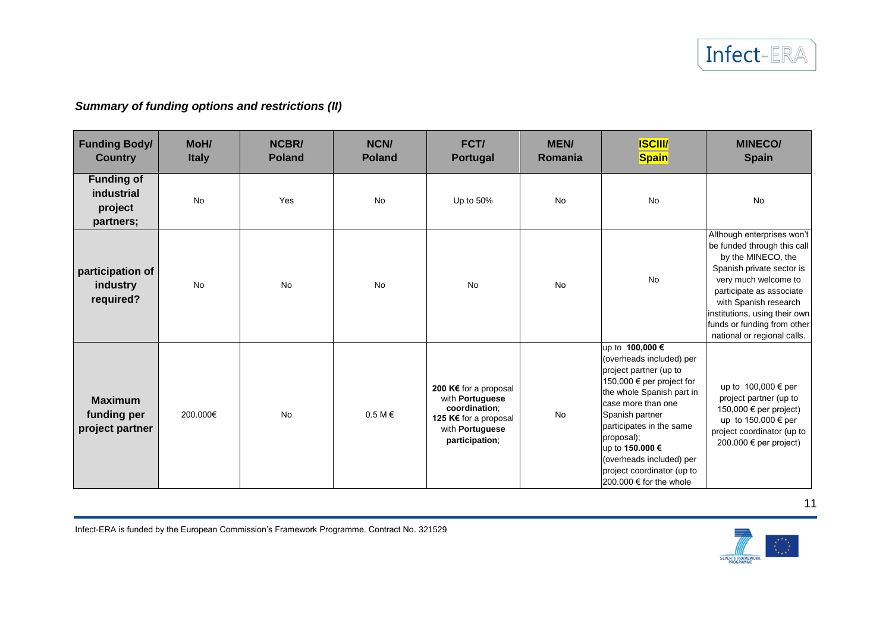### *Summary of funding options and restrictions (II)*

| <b>Funding Body/</b><br><b>Country</b>                  | MoH/<br><b>Italy</b> | <b>NCBR/</b><br><b>Poland</b> | <b>NCN/</b><br><b>Poland</b> | FCT/<br><b>Portugal</b>                                                                                                        | <b>MEN/</b><br>Romania | <b>ISCIII/</b><br><b>Spain</b>                                                                                                                                                                                                                                                                                                 | <b>MINECO/</b><br><b>Spain</b>                                                                                                                                                                                                                                                           |
|---------------------------------------------------------|----------------------|-------------------------------|------------------------------|--------------------------------------------------------------------------------------------------------------------------------|------------------------|--------------------------------------------------------------------------------------------------------------------------------------------------------------------------------------------------------------------------------------------------------------------------------------------------------------------------------|------------------------------------------------------------------------------------------------------------------------------------------------------------------------------------------------------------------------------------------------------------------------------------------|
| <b>Funding of</b><br>industrial<br>project<br>partners; | <b>No</b>            | Yes                           | <b>No</b>                    | Up to 50%                                                                                                                      | <b>No</b>              | <b>No</b>                                                                                                                                                                                                                                                                                                                      | <b>No</b>                                                                                                                                                                                                                                                                                |
| participation of<br>industry<br>required?               | No                   | No                            | <b>No</b>                    | <b>No</b>                                                                                                                      | <b>No</b>              | <b>No</b>                                                                                                                                                                                                                                                                                                                      | Although enterprises won't<br>be funded through this call<br>by the MINECO, the<br>Spanish private sector is<br>very much welcome to<br>participate as associate<br>with Spanish research<br>institutions, using their own<br>funds or funding from other<br>national or regional calls. |
| <b>Maximum</b><br>funding per<br>project partner        | 200.000€             | No                            | $0.5 M \in$                  | 200 K€ for a proposal<br>with Portuguese<br>coordination:<br>125 K€ for a proposal<br>with <b>Portuguese</b><br>participation; | No                     | up to 100,000 €<br>(overheads included) per<br>project partner (up to<br>150,000 € per project for<br>the whole Spanish part in<br>case more than one<br>Spanish partner<br>participates in the same<br>proposal);<br>up to 150.000 €<br>(overheads included) per<br>project coordinator (up to<br>$200.000 \in$ for the whole | up to 100,000 € per<br>project partner (up to<br>150,000 € per project)<br>up to 150.000 € per<br>project coordinator (up to<br>200.000 € per project)                                                                                                                                   |

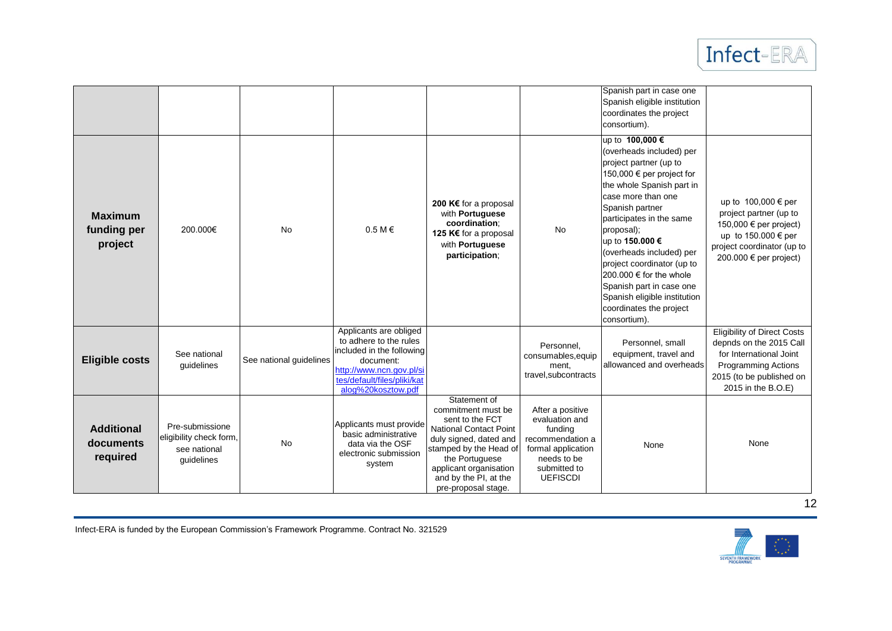

|                                            |                                                                          |                         |                                                                                                                                                                             |                                                                                                                                                                                                                                        |                                                                                                                                           | Spanish part in case one<br>Spanish eligible institution<br>coordinates the project<br>consortium).                                                                                                                                                                                                                                                                                                                               |                                                                                                                                                                          |
|--------------------------------------------|--------------------------------------------------------------------------|-------------------------|-----------------------------------------------------------------------------------------------------------------------------------------------------------------------------|----------------------------------------------------------------------------------------------------------------------------------------------------------------------------------------------------------------------------------------|-------------------------------------------------------------------------------------------------------------------------------------------|-----------------------------------------------------------------------------------------------------------------------------------------------------------------------------------------------------------------------------------------------------------------------------------------------------------------------------------------------------------------------------------------------------------------------------------|--------------------------------------------------------------------------------------------------------------------------------------------------------------------------|
| <b>Maximum</b><br>funding per<br>project   | 200.000€                                                                 | <b>No</b>               | $0.5 M \in$                                                                                                                                                                 | 200 K€ for a proposal<br>with Portuguese<br>coordination:<br>125 K€ for a proposal<br>with Portuguese<br>participation;                                                                                                                | <b>No</b>                                                                                                                                 | up to 100,000 €<br>(overheads included) per<br>project partner (up to<br>150,000 € per project for<br>the whole Spanish part in<br>case more than one<br>Spanish partner<br>participates in the same<br>proposal);<br>up to 150.000 €<br>(overheads included) per<br>project coordinator (up to<br>200,000 € for the whole<br>Spanish part in case one<br>Spanish eligible institution<br>coordinates the project<br>consortium). | up to 100,000 € per<br>project partner (up to<br>150,000 € per project)<br>up to 150.000 € per<br>project coordinator (up to<br>200.000 € per project)                   |
| <b>Eligible costs</b>                      | See national<br>guidelines                                               | See national guidelines | Applicants are obliged<br>to adhere to the rules<br>included in the following<br>document:<br>http://www.ncn.gov.pl/si<br>tes/default/files/pliki/kat<br>alog%20kosztow.pdf |                                                                                                                                                                                                                                        | Personnel,<br>consumables, equip<br>ment,<br>travel, subcontracts                                                                         | Personnel, small<br>equipment, travel and<br>allowanced and overheads                                                                                                                                                                                                                                                                                                                                                             | <b>Eligibility of Direct Costs</b><br>depnds on the 2015 Call<br>for International Joint<br><b>Programming Actions</b><br>2015 (to be published on<br>2015 in the B.O.E) |
| <b>Additional</b><br>documents<br>required | Pre-submissione<br>eligibility check form,<br>see national<br>quidelines | No                      | Applicants must provide<br>basic administrative<br>data via the OSF<br>electronic submission<br>system                                                                      | Statement of<br>commitment must be<br>sent to the FCT<br><b>National Contact Point</b><br>duly signed, dated and<br>stamped by the Head of<br>the Portuguese<br>applicant organisation<br>and by the PI, at the<br>pre-proposal stage. | After a positive<br>evaluation and<br>funding<br>recommendation a<br>formal application<br>needs to be<br>submitted to<br><b>UEFISCDI</b> | None                                                                                                                                                                                                                                                                                                                                                                                                                              | None                                                                                                                                                                     |